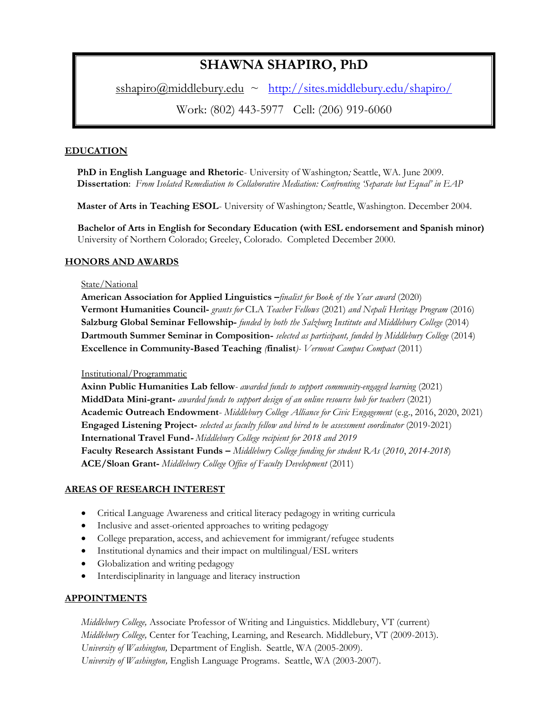# **SHAWNA SHAPIRO, PhD**

 $sshapiro@mid\rule{1}{\text{2}}$   $\sim$   $\frac{http://sites.middlebury.edu/shapiro/}{\text{2}}$  $\frac{http://sites.middlebury.edu/shapiro/}{\text{2}}$  $\frac{http://sites.middlebury.edu/shapiro/}{\text{2}}$ 

Work: (802) 443-5977 Cell: (206) 919-6060

# **EDUCATION**

**PhD in English Language and Rhetoric**- University of Washington*;* Seattle, WA. June 2009. **Dissertation**: *From Isolated Remediation to Collaborative Mediation: Confronting 'Separate but Equal' in EAP*

**Master of Arts in Teaching ESOL**- University of Washington*;* Seattle, Washington. December 2004.

 **Bachelor of Arts in English for Secondary Education (with ESL endorsement and Spanish minor)** University of Northern Colorado; Greeley, Colorado. Completed December 2000.

# **HONORS AND AWARDS**

## State/National

**American Association for Applied Linguistics –***finalist for Book of the Year award* (2020) **Vermont Humanities Council-** *grants for* CLA *Teacher Fellows* (2021) *and Nepali Heritage Program* (2016) **Salzburg Global Seminar Fellowship-** *funded by both the Salzburg Institute and Middlebury College* (2014) **Dartmouth Summer Seminar in Composition-** *selected as participant, funded by Middlebury College* (2014) **Excellence in Community-Based Teaching** *(***finalist***)- Vermont Campus Compact* (2011)

# Institutional/Programmatic

**Axinn Public Humanities Lab fellow***- awarded funds to support community-engaged learning* (2021) **MiddData Mini-grant-** *awarded funds to support design of an online resource hub for teachers* (2021) **Academic Outreach Endowment**- *Middlebury College Alliance for Civic Engagement* (e.g., 2016, 2020, 2021) **Engaged Listening Project-** *selected as faculty fellow and hired to be assessment coordinator* (2019-2021) **International Travel Fund-** *Middlebury College recipient for 2018 and 2019* **Faculty Research Assistant Funds –** *Middlebury College funding for student RAs* (*2010*, *2014-2018*) **ACE/Sloan Grant-** *Middlebury College Office of Faculty Development* (2011)

# **AREAS OF RESEARCH INTEREST**

- Critical Language Awareness and critical literacy pedagogy in writing curricula
- Inclusive and asset-oriented approaches to writing pedagogy
- College preparation, access, and achievement for immigrant/refugee students
- Institutional dynamics and their impact on multilingual/ESL writers
- Globalization and writing pedagogy
- Interdisciplinarity in language and literacy instruction

# **APPOINTMENTS**

*Middlebury College,* Associate Professor of Writing and Linguistics. Middlebury, VT (current) *Middlebury College,* Center for Teaching, Learning, and Research. Middlebury, VT (2009-2013). *University of Washington,* Department of English. Seattle, WA (2005-2009). *University of Washington,* English Language Programs. Seattle, WA (2003-2007).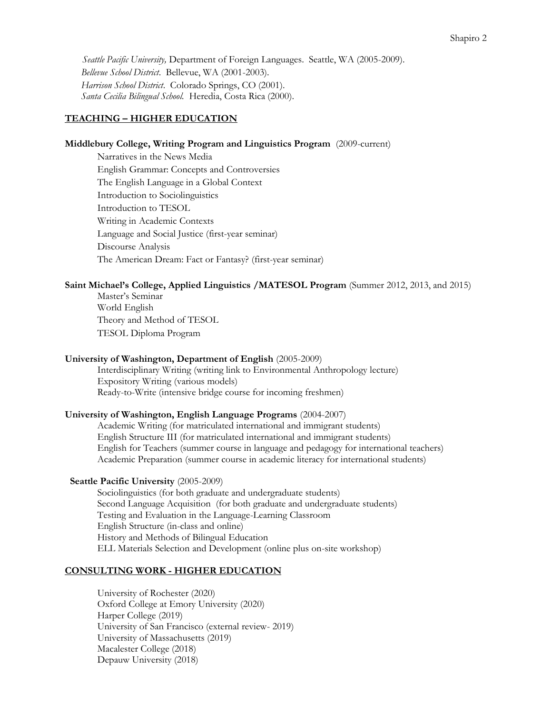*Seattle Pacific University,* Department of Foreign Languages. Seattle, WA (2005-2009). *Bellevue School District*. Bellevue, WA (2001-2003). *Harrison School District*. Colorado Springs, CO (2001). *Santa Cecilia Bilingual School.* Heredia, Costa Rica (2000).

## **TEACHING – HIGHER EDUCATION**

## **Middlebury College, Writing Program and Linguistics Program** (2009-current)

Narratives in the News Media English Grammar: Concepts and Controversies The English Language in a Global Context Introduction to Sociolinguistics Introduction to TESOL Writing in Academic Contexts Language and Social Justice (first-year seminar) Discourse Analysis The American Dream: Fact or Fantasy? (first-year seminar)

#### **Saint Michael's College, Applied Linguistics /MATESOL Program** (Summer 2012, 2013, and 2015)

Master's Seminar World English Theory and Method of TESOL TESOL Diploma Program

#### **University of Washington, Department of English** (2005-2009)

Interdisciplinary Writing (writing link to Environmental Anthropology lecture) Expository Writing (various models) Ready-to-Write (intensive bridge course for incoming freshmen)

#### **University of Washington, English Language Programs** (2004-2007)

Academic Writing (for matriculated international and immigrant students) English Structure III (for matriculated international and immigrant students) English for Teachers (summer course in language and pedagogy for international teachers) Academic Preparation (summer course in academic literacy for international students)

#### **Seattle Pacific University** (2005-2009)

 Sociolinguistics (for both graduate and undergraduate students) Second Language Acquisition (for both graduate and undergraduate students) Testing and Evaluation in the Language-Learning Classroom English Structure (in-class and online) History and Methods of Bilingual Education ELL Materials Selection and Development (online plus on-site workshop)

## **CONSULTING WORK - HIGHER EDUCATION**

University of Rochester (2020) Oxford College at Emory University (2020) Harper College (2019) University of San Francisco (external review- 2019) University of Massachusetts (2019) Macalester College (2018) Depauw University (2018)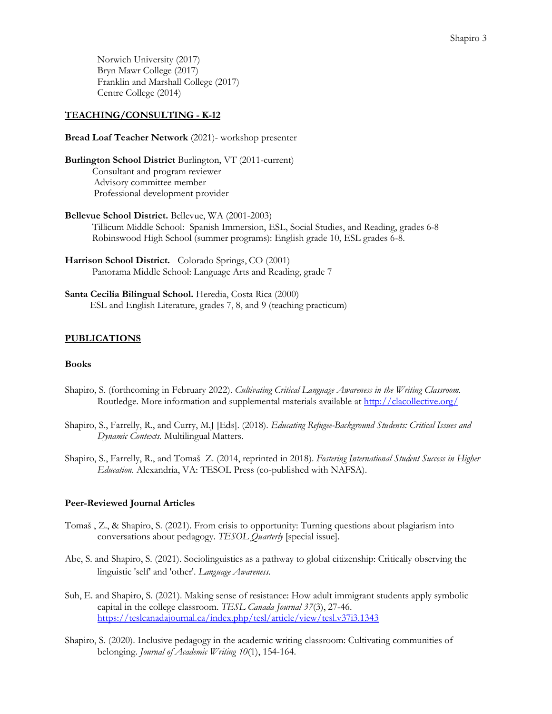Norwich University (2017) Bryn Mawr College (2017) Franklin and Marshall College (2017) Centre College (2014)

## **TEACHING/CONSULTING - K-12**

**Bread Loaf Teacher Network** (2021)- workshop presenter

**Burlington School District** Burlington, VT (2011-current) Consultant and program reviewer Advisory committee member Professional development provider

- **Bellevue School District.** Bellevue, WA (2001-2003) Tillicum Middle School: Spanish Immersion, ESL, Social Studies, and Reading, grades 6-8 Robinswood High School (summer programs): English grade 10, ESL grades 6-8.
- **Harrison School District.** Colorado Springs, CO (2001) Panorama Middle School: Language Arts and Reading, grade 7
- **Santa Cecilia Bilingual School.** Heredia, Costa Rica (2000) ESL and English Literature, grades 7, 8, and 9 (teaching practicum)

## **PUBLICATIONS**

## **Books**

- Shapiro, S. (forthcoming in February 2022). *Cultivating Critical Language Awareness in the Writing Classroom.* Routledge. More information and supplemental materials available at<http://clacollective.org/>
- Shapiro, S., Farrelly, R., and Curry, M.J [Eds]. (2018). *Educating Refugee-Background Students: Critical Issues and Dynamic Contexts.* Multilingual Matters.
- Shapiro, S., Farrelly, R., and Tomaš Z. (2014, reprinted in 2018). *Fostering International Student Success in Higher Education*. Alexandria, VA: TESOL Press (co-published with NAFSA).

## **Peer-Reviewed Journal Articles**

- Tomaš , Z., & Shapiro, S. (2021). From crisis to opportunity: Turning questions about plagiarism into conversations about pedagogy. *TESOL Quarterly* [special issue].
- Abe, S. and Shapiro, S. (2021). Sociolinguistics as a pathway to global citizenship: Critically observing the linguistic 'self' and 'other'. *Language Awareness.*
- Suh, E. and Shapiro, S. (2021). Making sense of resistance: How adult immigrant students apply symbolic capital in the college classroom. *TESL Canada Journal 37*(3), 27-46. <https://teslcanadajournal.ca/index.php/tesl/article/view/tesl.v37i3.1343>
- Shapiro, S. (2020). Inclusive pedagogy in the academic writing classroom: Cultivating communities of belonging. *Journal of Academic Writing 10*(1), 154-164.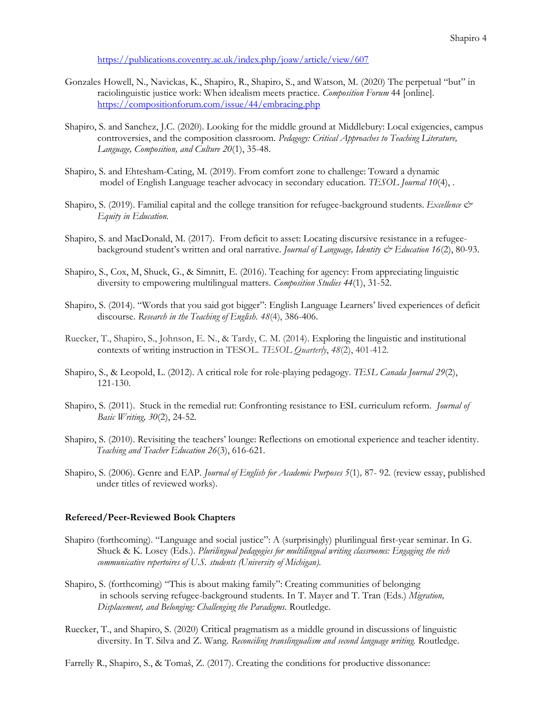<https://publications.coventry.ac.uk/index.php/joaw/article/view/607>

- Gonzales Howell, N., Navickas, K., Shapiro, R., Shapiro, S., and Watson, M. (2020) The perpetual "but" in raciolinguistic justice work: When idealism meets practice. *Composition Forum* 44 [online]. <https://compositionforum.com/issue/44/embracing.php>
- Shapiro, S. and Sanchez, J.C. (2020). Looking for the middle ground at Middlebury: Local exigencies, campus controversies, and the composition classroom. *Pedagogy: Critical Approaches to Teaching Literature, Language, Composition, and Culture 20*(1), 35-48.
- Shapiro, S. and Ehtesham-Cating, M. (2019). From comfort zone to challenge: Toward a dynamic model of English Language teacher advocacy in secondary education. *TESOL Journal 10*(4), *.*
- Shapiro, S. (2019). Familial capital and the college transition for refugee-background students. *Excellence & Equity in Education.*
- Shapiro, S. and MacDonald, M. (2017). From deficit to asset: Locating discursive resistance in a refugeebackground student's written and oral narrative. *Journal of Language, Identity & Education 16*(2), 80-93.
- Shapiro, S., Cox, M, Shuck, G., & Simnitt, E. (2016). Teaching for agency: From appreciating linguistic diversity to empowering multilingual matters. *Composition Studies 44*(1), 31-52.
- Shapiro, S. (2014). "Words that you said got bigger": English Language Learners' lived experiences of deficit discourse. *Research in the Teaching of English. 48*(4), 386-406.
- Ruecker, T., Shapiro, S., Johnson, E. N., & Tardy, C. M. (2014). Exploring the linguistic and institutional contexts of writing instruction in TESOL. *TESOL Quarterly*, *48*(2), 401-412.
- Shapiro, S., & Leopold, L. (2012). A critical role for role-playing pedagogy. *TESL Canada Journal 29*(2), 121-130.
- Shapiro, S. (2011). Stuck in the remedial rut: Confronting resistance to ESL curriculum reform. *Journal of Basic Writing, 30*(2), 24-52.
- Shapiro, S. (2010). Revisiting the teachers' lounge: Reflections on emotional experience and teacher identity. *Teaching and Teacher Education 26*(3), 616-621*.*
- Shapiro, S. (2006). Genre and EAP. *Journal of English for Academic Purposes 5*(1)*,* 87- 92. (review essay, published under titles of reviewed works).

#### **Refereed/Peer-Reviewed Book Chapters**

- Shapiro (forthcoming). "Language and social justice": A (surprisingly) plurilingual first-year seminar. In G. Shuck & K. Losey (Eds.). *Plurilingual pedagogies for multilingual writing classrooms: Engaging the rich communicative repertoires of U.S. students (University of Michigan).*
- Shapiro, S. (forthcoming) "This is about making family": Creating communities of belonging in schools serving refugee-background students. In T. Mayer and T. Tran (Eds.) *Migration, Displacement, and Belonging: Challenging the Paradigms.* Routledge.
- Ruecker, T., and Shapiro, S. (2020) Critical pragmatism as a middle ground in discussions of linguistic diversity. In T. Silva and Z. Wang. *Reconciling translingualism and second language writing.* Routledge.
- Farrelly R., Shapiro, S., & Tomaš, Z. (2017). Creating the conditions for productive dissonance: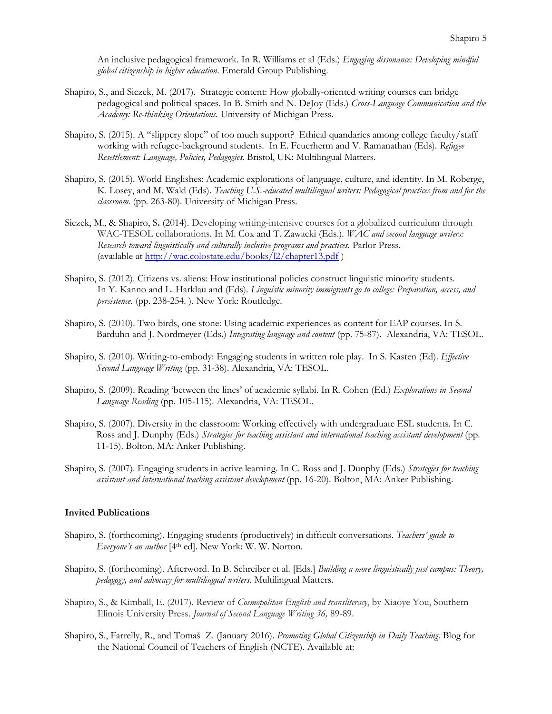An inclusive pedagogical framework. In R. Williams et al (Eds.) *Engaging dissonance: Developing mindful global citizenship in higher education.* Emerald Group Publishing.

- Shapiro, S., and Siczek, M. (2017). Strategic content: How globally-oriented writing courses can bridge pedagogical and political spaces. In B. Smith and N. DeJoy (Eds.) *Cross-Language Communication and the Academy: Re-thinking Orientations.* University of Michigan Press.
- Shapiro, S. (2015). A "slippery slope" of too much support? Ethical quandaries among college faculty/staff working with refugee-background students. In E. Feuerherm and V. Ramanathan (Eds). *Refugee Resettlement: Language, Policies, Pedagogies.* Bristol, UK: Multilingual Matters.
- Shapiro, S. (2015). World Englishes: Academic explorations of language, culture, and identity. In M. Roberge, K. Losey, and M. Wald (Eds). *Teaching U.S.-educated multilingual writers: Pedagogical practices from and for the classroom.* (pp. 263-80). University of Michigan Press.
- Siczek, M., & Shapiro, S**.** (2014). Developing writing-intensive courses for a globalized curriculum through WAC-TESOL collaborations. In M. Cox and T. Zawacki (Eds.). *WAC and second language writers: Research toward linguistically and culturally inclusive programs and practices.* Parlor Press. (available at <http://wac.colostate.edu/books/l2/chapter13.pdf> )
- Shapiro, S. (2012). Citizens vs. aliens: How institutional policies construct linguistic minority students. In Y. Kanno and L. Harklau and (Eds). *Linguistic minority immigrants go to college: Preparation, access, and persistence.* (pp. 238-254. ). New York: Routledge.
- Shapiro, S. (2010). Two birds, one stone: Using academic experiences as content for EAP courses. In S. Barduhn and J. Nordmeyer (Eds.) *Integrating language and content* (pp. 75-87). Alexandria, VA: TESOL.
- Shapiro, S. (2010). Writing-to-embody: Engaging students in written role play. In S. Kasten (Ed). *Effective Second Language Writing* (pp. 31-38). Alexandria, VA: TESOL.
- Shapiro, S. (2009). Reading 'between the lines' of academic syllabi. In R. Cohen (Ed.) *Explorations in Second Language Reading* (pp. 105-115)*.* Alexandria, VA: TESOL.
- Shapiro, S. (2007). Diversity in the classroom: Working effectively with undergraduate ESL students. In C. Ross and J. Dunphy (Eds.) *Strategies for teaching assistant and international teaching assistant development* (pp*.*  11-15). Bolton, MA: Anker Publishing.
- Shapiro, S. (2007). Engaging students in active learning. In C. Ross and J. Dunphy (Eds.) *Strategies for teaching assistant and international teaching assistant development* (pp. 16-20). Bolton, MA: Anker Publishing.

#### **Invited Publications**

- Shapiro, S. (forthcoming). Engaging students (productively) in difficult conversations. *Teachers' guide to Everyone's an author* [4 th ed]. New York: W. W. Norton.
- Shapiro, S. (forthcoming). Afterword. In B. Schreiber et al. [Eds.] *Building a more linguistically just campus: Theory, pedagogy, and advocacy for multilingual writers*. Multilingual Matters.
- Shapiro, S., & Kimball, E. (2017). Review of *Cosmopolitan English and transliteracy*, by Xiaoye You, Southern Illinois University Press. *Journal of Second Language Writing 36,* 89-89.
- Shapiro, S., Farrelly, R., and Tomaš Z. (January 2016). *[Promoting Global Citizenship in](http://blogs.ncte.org/index.php/2016/01/promoting-global-citizenship-daily-teaching/) Daily Teaching.* Blog for the National Council of Teachers of English (NCTE). Available at: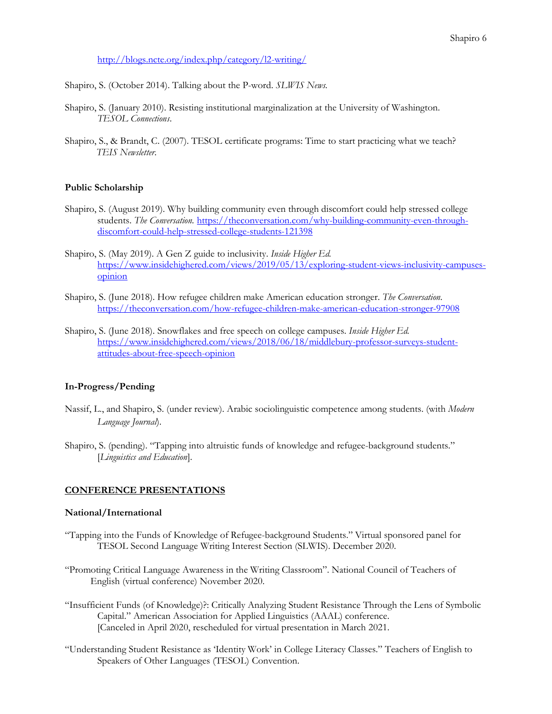<http://blogs.ncte.org/index.php/category/l2-writing/>

Shapiro, S. (October 2014). Talking about the P-word. *SLWIS News.*

- Shapiro, S. (January 2010). Resisting institutional marginalization at the University of Washington. *TESOL Connections*.
- Shapiro, S., & Brandt, C. (2007). TESOL certificate programs: Time to start practicing what we teach? *TEIS Newsletter*.

## **Public Scholarship**

- Shapiro, S. (August 2019). Why building community even through discomfort could help stressed college students. *The Conversation*. [https://theconversation.com/why-building-community-even-through](https://theconversation.com/why-building-community-even-through-discomfort-could-help-stressed-college-students-121398)[discomfort-could-help-stressed-college-students-121398](https://theconversation.com/why-building-community-even-through-discomfort-could-help-stressed-college-students-121398)
- Shapiro, S. (May 2019). A Gen Z guide to inclusivity. *Inside Higher Ed.*  [https://www.insidehighered.com/views/2019/05/13/exploring-student-views-inclusivity-campuses](https://www.insidehighered.com/views/2019/05/13/exploring-student-views-inclusivity-campuses-opinion)[opinion](https://www.insidehighered.com/views/2019/05/13/exploring-student-views-inclusivity-campuses-opinion)
- Shapiro, S. (June 2018). How refugee children make American education stronger. *The Conversation.* <https://theconversation.com/how-refugee-children-make-american-education-stronger-97908>
- Shapiro, S. (June 2018). Snowflakes and free speech on college campuses. *Inside Higher Ed.*  [https://www.insidehighered.com/views/2018/06/18/middlebury-professor-surveys-student](https://www.insidehighered.com/views/2018/06/18/middlebury-professor-surveys-student-attitudes-about-free-speech-opinion)[attitudes-about-free-speech-opinion](https://www.insidehighered.com/views/2018/06/18/middlebury-professor-surveys-student-attitudes-about-free-speech-opinion)

# **In-Progress/Pending**

- Nassif, L., and Shapiro, S. (under review). Arabic sociolinguistic competence among students. (with *Modern Language Journal*).
- Shapiro, S. (pending). "Tapping into altruistic funds of knowledge and refugee-background students." [*Linguistics and Education*]*.*

# **CONFERENCE PRESENTATIONS**

## **National/International**

- "Tapping into the Funds of Knowledge of Refugee-background Students." Virtual sponsored panel for TESOL Second Language Writing Interest Section (SLWIS). December 2020.
- "Promoting Critical Language Awareness in the Writing Classroom". National Council of Teachers of English (virtual conference) November 2020.
- "Insufficient Funds (of Knowledge)?: Critically Analyzing Student Resistance Through the Lens of Symbolic Capital." American Association for Applied Linguistics (AAAL) conference. [Canceled in April 2020, rescheduled for virtual presentation in March 2021.
- "Understanding Student Resistance as 'Identity Work' in College Literacy Classes." Teachers of English to Speakers of Other Languages (TESOL) Convention.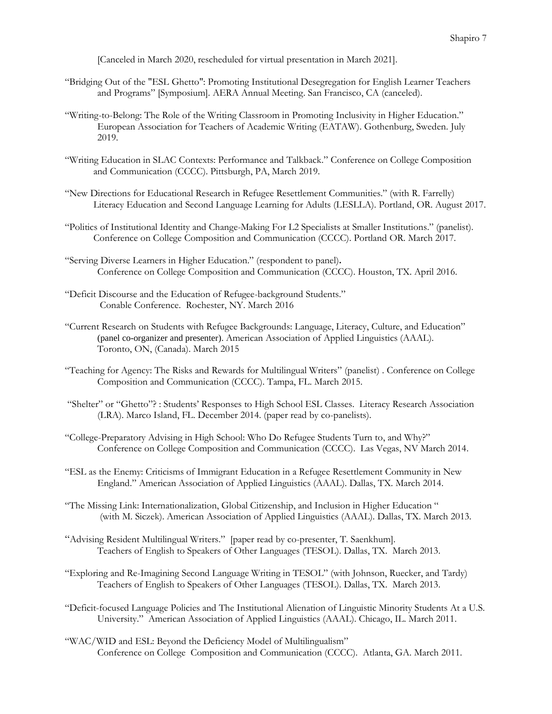[Canceled in March 2020, rescheduled for virtual presentation in March 2021].

- "Bridging Out of the "ESL Ghetto": Promoting Institutional Desegregation for English Learner Teachers and Programs" [Symposium]. AERA Annual Meeting. San Francisco, CA (canceled).
- "Writing-to-Belong: The Role of the Writing Classroom in Promoting Inclusivity in Higher Education." European Association for Teachers of Academic Writing (EATAW). Gothenburg, Sweden. July 2019.
- "Writing Education in SLAC Contexts: Performance and Talkback." Conference on College Composition and Communication (CCCC). Pittsburgh, PA, March 2019.
- "New Directions for Educational Research in Refugee Resettlement Communities." (with R. Farrelly) Literacy Education and Second Language Learning for Adults (LESLLA). Portland, OR. August 2017.
- "Politics of Institutional Identity and Change-Making For L2 Specialists at Smaller Institutions." (panelist). Conference on College Composition and Communication (CCCC). Portland OR. March 2017.
- "Serving Diverse Learners in Higher Education." (respondent to panel)**.** Conference on College Composition and Communication (CCCC). Houston, TX. April 2016.
- "Deficit Discourse and the Education of Refugee-background Students." Conable Conference. Rochester, NY. March 2016
- "Current Research on Students with Refugee Backgrounds: Language, Literacy, Culture, and Education" (panel co-organizer and presenter). American Association of Applied Linguistics (AAAL). Toronto, ON, (Canada). March 2015
- "Teaching for Agency: The Risks and Rewards for Multilingual Writers" (panelist) . Conference on College Composition and Communication (CCCC). Tampa, FL. March 2015.
- "Shelter" or "Ghetto"? : Students' Responses to High School ESL Classes. Literacy Research Association (LRA). Marco Island, FL. December 2014. (paper read by co-panelists).
- "College-Preparatory Advising in High School: Who Do Refugee Students Turn to, and Why?" Conference on College Composition and Communication (CCCC). Las Vegas, NV March 2014.
- "ESL as the Enemy: Criticisms of Immigrant Education in a Refugee Resettlement Community in New England." American Association of Applied Linguistics (AAAL). Dallas, TX. March 2014.
- "The Missing Link: Internationalization, Global Citizenship, and Inclusion in Higher Education " (with M. Siczek). American Association of Applied Linguistics (AAAL). Dallas, TX. March 2013.
- "Advising Resident Multilingual Writers." [paper read by co-presenter, T. Saenkhum]. Teachers of English to Speakers of Other Languages (TESOL). Dallas, TX. March 2013.
- "Exploring and Re-Imagining Second Language Writing in TESOL" (with Johnson, Ruecker, and Tardy) Teachers of English to Speakers of Other Languages (TESOL). Dallas, TX. March 2013.
- "Deficit-focused Language Policies and The Institutional Alienation of Linguistic Minority Students At a U.S. University." American Association of Applied Linguistics (AAAL). Chicago, IL. March 2011.
- "WAC/WID and ESL: Beyond the Deficiency Model of Multilingualism" Conference on College Composition and Communication (CCCC). Atlanta, GA. March 2011.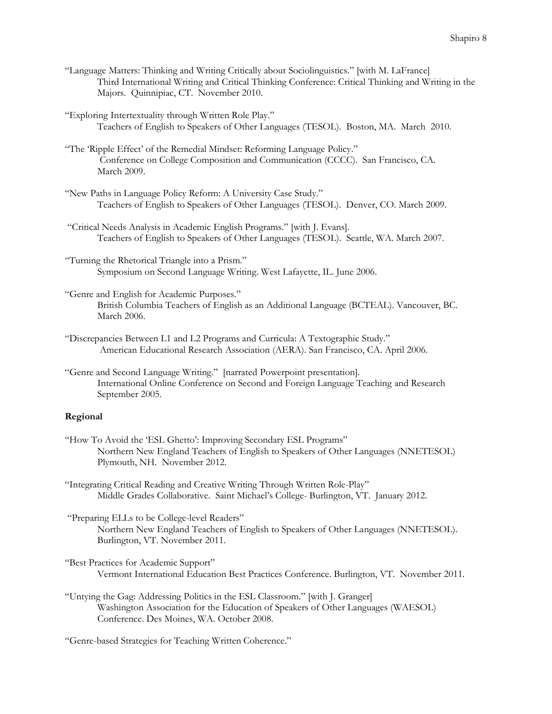"Language Matters: Thinking and Writing Critically about Sociolinguistics." [with M. LaFrance] Third International Writing and Critical Thinking Conference: Critical Thinking and Writing in the Majors. Quinnipiac, CT. November 2010.

"Exploring Intertextuality through Written Role Play." Teachers of English to Speakers of Other Languages (TESOL). Boston, MA. March 2010.

- "The 'Ripple Effect' of the Remedial Mindset: Reforming Language Policy." Conference on College Composition and Communication (CCCC). San Francisco, CA. March 2009.
- "New Paths in Language Policy Reform: A University Case Study." Teachers of English to Speakers of Other Languages (TESOL). Denver, CO. March 2009.
- "Critical Needs Analysis in Academic English Programs." [with J. Evans]. Teachers of English to Speakers of Other Languages (TESOL). Seattle, WA. March 2007.
- "Turning the Rhetorical Triangle into a Prism." Symposium on Second Language Writing. West Lafayette, IL. June 2006.
- "Genre and English for Academic Purposes." British Columbia Teachers of English as an Additional Language (BCTEAL). Vancouver, BC. March 2006.
- "Discrepancies Between L1 and L2 Programs and Curricula: A Textographic Study." American Educational Research Association (AERA). San Francisco, CA. April 2006.
- "Genre and Second Language Writing." [narrated Powerpoint presentation]. International Online Conference on Second and Foreign Language Teaching and Research September 2005.

## **Regional**

- "How To Avoid the 'ESL Ghetto': Improving Secondary ESL Programs" Northern New England Teachers of English to Speakers of Other Languages (NNETESOL) Plymouth, NH. November 2012.
- "Integrating Critical Reading and Creative Writing Through Written Role-Play" Middle Grades Collaborative. Saint Michael's College- Burlington, VT. January 2012.
- "Preparing ELLs to be College-level Readers" Northern New England Teachers of English to Speakers of Other Languages (NNETESOL). Burlington, VT. November 2011.
- "Best Practices for Academic Support" Vermont International Education Best Practices Conference. Burlington, VT. November 2011.
- "Untying the Gag: Addressing Politics in the ESL Classroom." [with J. Granger] Washington Association for the Education of Speakers of Other Languages (WAESOL) Conference. Des Moines, WA. October 2008.
- "Genre-based Strategies for Teaching Written Coherence."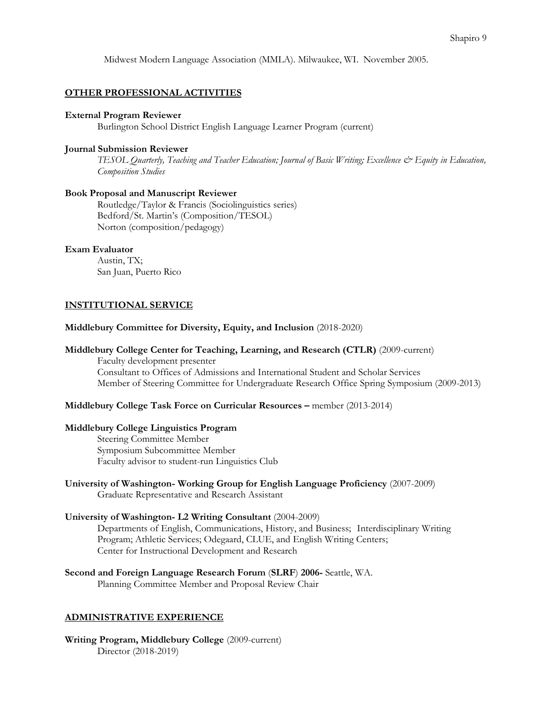Midwest Modern Language Association (MMLA). Milwaukee, WI. November 2005.

#### **OTHER PROFESSIONAL ACTIVITIES**

#### **External Program Reviewer**

Burlington School District English Language Learner Program (current)

#### **Journal Submission Reviewer**

*TESOL Quarterly, Teaching and Teacher Education; Journal of Basic Writing; Excellence & Equity in Education, Composition Studies*

#### **Book Proposal and Manuscript Reviewer**

Routledge/Taylor & Francis (Sociolinguistics series) Bedford/St. Martin's (Composition/TESOL) Norton (composition/pedagogy)

# **Exam Evaluator**

Austin, TX; San Juan, Puerto Rico

#### **INSTITUTIONAL SERVICE**

#### **Middlebury Committee for Diversity, Equity, and Inclusion** (2018-2020)

#### **Middlebury College Center for Teaching, Learning, and Research (CTLR)** (2009-current)

Faculty development presenter Consultant to Offices of Admissions and International Student and Scholar Services Member of Steering Committee for Undergraduate Research Office Spring Symposium (2009-2013)

## **Middlebury College Task Force on Curricular Resources –** member (2013-2014)

#### **Middlebury College Linguistics Program**

Steering Committee Member Symposium Subcommittee Member Faculty advisor to student-run Linguistics Club

**University of Washington- Working Group for English Language Proficiency** (2007-2009) Graduate Representative and Research Assistant

#### **University of Washington- L2 Writing Consultant** (2004-2009)

Departments of English, Communications, History, and Business; Interdisciplinary Writing Program; Athletic Services; Odegaard, CLUE, and English Writing Centers; Center for Instructional Development and Research

**Second and Foreign Language Research Forum** (**SLRF**) **2006-** Seattle, WA.

Planning Committee Member and Proposal Review Chair

## **ADMINISTRATIVE EXPERIENCE**

**Writing Program, Middlebury College** (2009-current) Director (2018-2019)